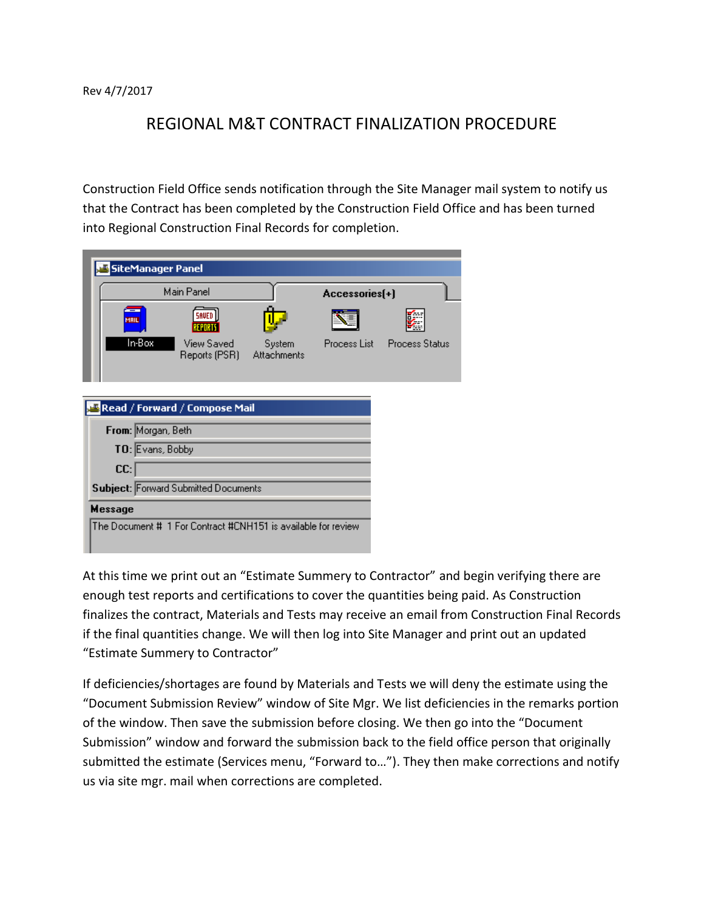Rev 4/7/2017

## REGIONAL M&T CONTRACT FINALIZATION PROCEDURE

Construction Field Office sends notification through the Site Manager mail system to notify us that the Contract has been completed by the Construction Field Office and has been turned into Regional Construction Final Records for completion.

| <b>SiteManager Panel</b>                                      |                                      |                              |                |                       |  |
|---------------------------------------------------------------|--------------------------------------|------------------------------|----------------|-----------------------|--|
|                                                               | Main Panel                           |                              | Accessories[+] |                       |  |
| MAIL                                                          |                                      |                              |                |                       |  |
| In-Box                                                        | View Saved<br>Reports (PSR)          | System<br><b>Attachments</b> | Process List   | <b>Process Status</b> |  |
|                                                               | Read / Forward / Compose Mail        |                              |                |                       |  |
| From: Morgan, Beth                                            |                                      |                              |                |                       |  |
| TO: Evans, Bobby                                              |                                      |                              |                |                       |  |
| CC:                                                           |                                      |                              |                |                       |  |
|                                                               | Subject: Forward Submitted Documents |                              |                |                       |  |
| Message                                                       |                                      |                              |                |                       |  |
| The Document # 1 For Contract #CNH151 is available for review |                                      |                              |                |                       |  |

At this time we print out an "Estimate Summery to Contractor" and begin verifying there are enough test reports and certifications to cover the quantities being paid. As Construction finalizes the contract, Materials and Tests may receive an email from Construction Final Records if the final quantities change. We will then log into Site Manager and print out an updated "Estimate Summery to Contractor"

If deficiencies/shortages are found by Materials and Tests we will deny the estimate using the "Document Submission Review" window of Site Mgr. We list deficiencies in the remarks portion of the window. Then save the submission before closing. We then go into the "Document Submission" window and forward the submission back to the field office person that originally submitted the estimate (Services menu, "Forward to…"). They then make corrections and notify us via site mgr. mail when corrections are completed.